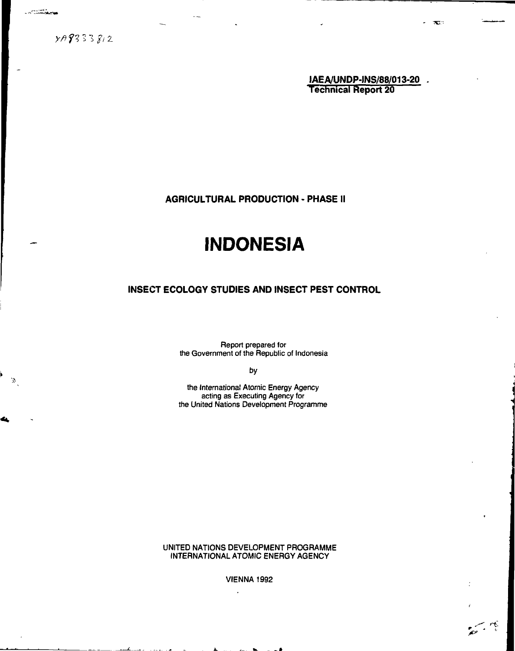$100 - 100$ 

**tAEA/UNDP-1NS/88/013-20 . Technical Report 20**

**AGRICULTURAL PRODUCTION - PHASE II**

# **INDONESIA**

# **INSECT ECOLOGY STUDIES AND INSECT PEST CONTROL**

Report prepared for the Government of the Republic of Indonesia

**by**

the International Atomic Energy Agency acting as Executing Agency for the United Nations Development Programme

UNITED NATIONS DEVELOPMENT PROGRAMME INTERNATIONAL ATOMIC ENERGY AGENCY

VIENNA 1992

diam'r.

چم ب<u>س</u>م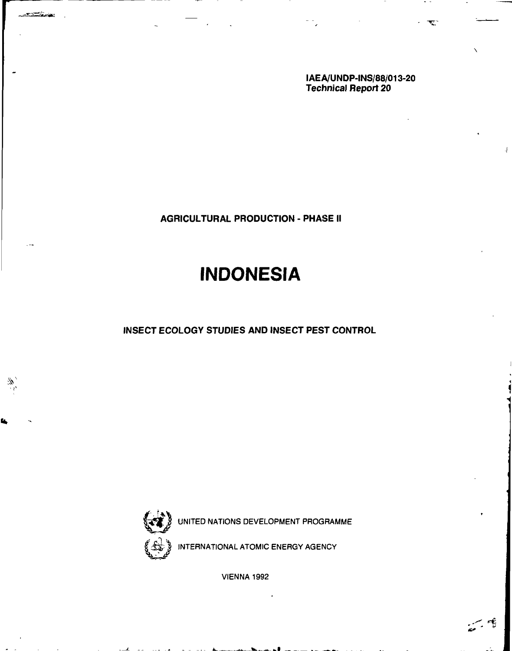**IAE A/UNDP-INS/88/013-20 Technical Report 20**

 $\overline{\mathbf{w}}$ 

**AGRICULTURAL PRODUCTION - PHASE II**

# **INDONESIA**

**INSECT ECOLOGY STUDIES AND INSECT PEST CONTROL**



**All Angeles** 

UNITED NATIONS DEVELOPMENT PROGRAMME

INTERNATIONAL ATOMIC ENERGY AGENCY

VIENNA 1992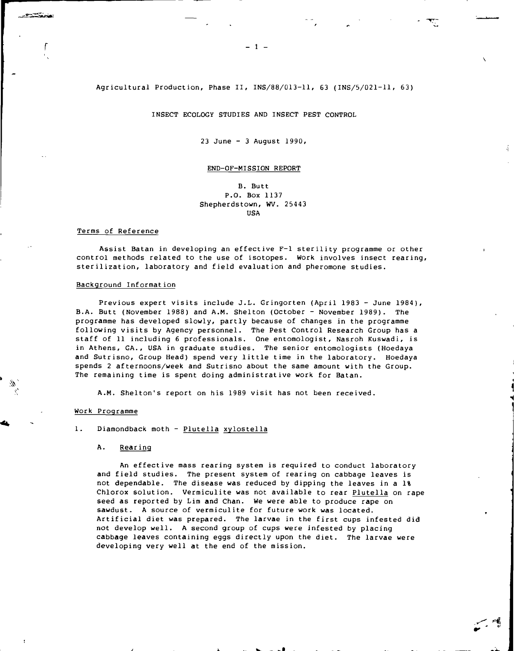# Agricultural Production, Phase II, INS/88/013-11, 63 (INS/5/021-11, 63)

INSECT ECOLOGY STUDIES AND INSECT PEST CONTROL

23 June - 3 August 1990,

#### END-OF-MISSION REPORT

B. Butt P.O. Box 1137 Shepherdstown, WV. 25443 USA

# Terms of Reference

Assist Batan in developing an effective F-1 sterility programme or other control methods related to the use of isotopes. Work involves insect rearing, sterilization, laboratory and field evaluation and pheromone studies.

### Background Information

Previous expert visits include J.L. Gringorten (April 1983 - June 1984), B.A. Butt (November 1988) and A.M. Shelton (October - November 1989). The programme has developed slowly, partly because of changes in the programme following visits by Agency personnel. The Pest Control Research Group has a staff of 11 including 6 professionals. One entomologist, Nasroh Kuswadi, is in Athens, GA., USA in graduate studies. The senior entomologists (Hoedaya and Sutrisno, Group Head) spend very little time in the laboratory. Hoedaya spends 2 afternoons/week and Sutrisno about the same amount with the Group. The remaining time is spent doing administrative work for Batan.

\

A.M. Shelton's report on his 1989 visit has not been received.

#### Work Programme

# 1. Diamondback moth - Plutella xylostella

#### Α. Rearing

An effective mass rearing system is required to conduct laboratory and field studies. The present system of rearing on cabbage leaves is not dependable. The disease was reduced by dipping the leaves in a 1% Chlorox solution. Vermiculite was not available to rear Plutella on rape seed as reported by Lim and Chan. We were able to produce rape on sawdust. A source of vermiculite for future work was located. Artificial diet was prepared. The larvae in the first cups infested did not develop well. A second group of cups were infested by placing cabbage leaves containing eggs directly upon the diet. The larvae were developing very well at the end of the mission.

 $-1 -$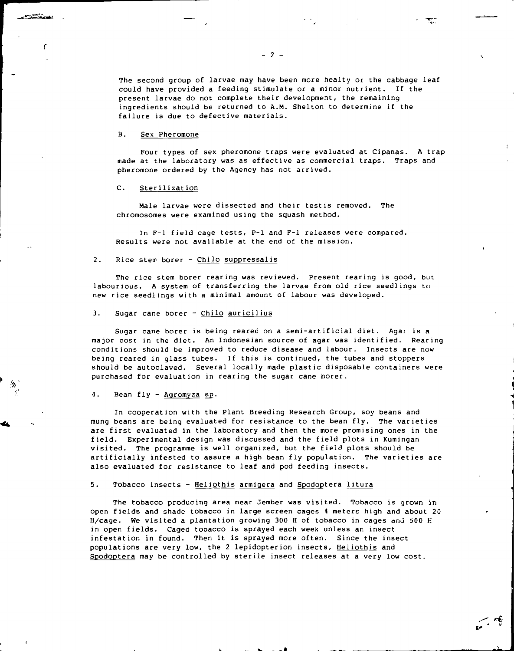The second group of larvae may have been more healty or the cabbage leaf could have provided a feeding stimulate or a minor nutrient. If the present larvae do not complete their development, the remaining ingredients should be returned to A.M. Shelton to determine if the failure is due to defective materials.

#### B. Sex Pheromone

والمشاولات المتحددة

Four types of sex pheromone traps were evaluated at Cipanas. A trap made at the laboratory was as effective as commercial traps. Traps and pheromone ordered by the Agency has not arrived.

# C. Sterilization

Male larvae were dissected and their testis removed. The chromosomes were examined using the squash method.

In F-l field cage tests, P-l and F-l releases were compared. Results were not available at the end of the mission.

# 2. Rice stem borer - Chilo suppressalis

The rice stem borer rearing was reviewed. Present rearing is good, but labourious. A system of transferring the larvae from old rice seedlings to new rice seedlings with a minimal amount of labour was developed.

# 3. Sugar cane borer - Chilo auricilius

Sugar cane borer is being reared on a semi-artificial diet. Agai is a major cost in the diet. An Indonesian source of agar was identified. Rearing conditions should be improved to reduce disease and labour. Insects are now being reared in glass tubes. If this is continued, the tubes and stoppers should be autoclaved. Several locally made plastic disposable containers were purchased for evaluation in rearing the sugar cane borer.

4. Bean fly - Agromyza sp.

In cooperation with the Plant Breeding Research Group, soy beans and mung beans are being evaluated for resistance to the bean fly. The varieties are first evaluated in the laboratory and then the more promising ones in the field. Experimental design was discussed and the field plots in Kumingan visited. The programme is well organized, but the field plots should be artificially infested to assure a high bean fly population. The varieties are also evaluated for resistance to leaf and pod feeding insects.

# 5. Tobacco insects - Heliothis armigera and Spodoptera litura

The tobacco producing area near Jember was visited. Tobacco is grown in open fields and shade tobacco in large screen cages 4 meters high and about 20 H/cage. We visited a plantation growing 300 H of tobacco in cages and 500 H in open fields. Caged tobacco is sprayed each week unless an insect infestation in found. Then it is sprayed more often. Since the insect populations are very low, the 2 lepidopterion insects, Heliothis and Spodoptera may be controlled by sterile insect releases at a very low cost.

 $\mathbf{J}$  . We take the set of  $\mathbf{J}$ 

 $\mathcal{L} \cong$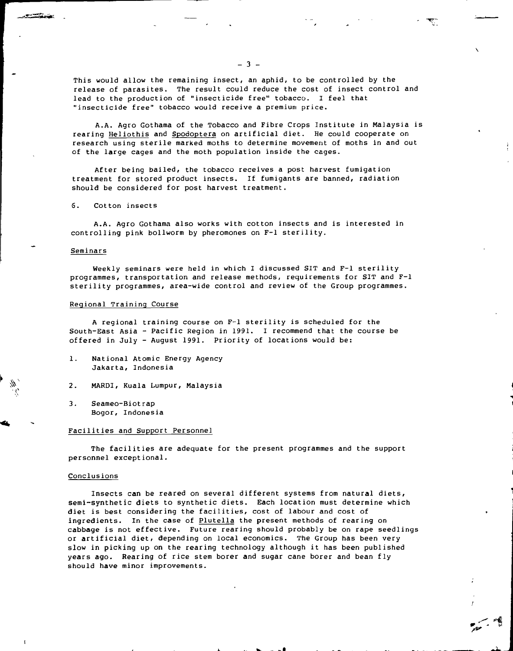This would allow the remaining insect, an aphid, to be controlled by the release of parasites. The result could reduce the cost of insect control and lead to the production of "insecticide free" tobacco. I feel that "insecticide free" tobacco would receive a premium price.

A.A. Agro Gothama of the Tobacco and Fibre Crops Institute in Malaysia is rearing Heliothis and Spodoptera on artificial diet. He could cooperate on research using sterile marked moths to determine movement of moths in and out of the large cages and the moth population inside the cages.

After being bailed, the tobacco receives a post harvest fumigation treatment for stored product insects. If fumigants are banned, radiation should be considered for post harvest treatment.

6. Cotton insects

A.A. Agro Gothama also works with cotton insects and is interested in controlling pink bollworm by pheromones on F-l sterility.

# Seminars

Weekly seminars were held in which I discussed SIT and F-l sterility programmes, transportation and release methods, requirements for SIT and F-l sterility programmes, area-wide control and review of the Group programmes.

#### Regional Training Course

A regional training course on F-l sterility is scheduled for the South-East Asia - Pacific Region in 1991. I recommend that the course be offered in July - August 1991. Priority of locations would be:

- 1. National Atomic Energy Agency Jakarta, Indonesia
- 2. MARDI, Kuala Lumpur, Malaysia
- 3. Seameo-Biotrap Bogor, Indonesia

# Facilities and Support Personnel

The facilities are adequate for the present programmes and the support personnel exceptional.

# Conclusions

Insects can be reared on several different systems from natural diets, semi-synthetic diets to synthetic diets. Each location must determine which diet is best considering the facilities, cost of labour and cost of ingredients. In the case of Plutella the present methods of rearing on cabbage is not effective. Future rearing should probably be on rape seedlings or artificial diet, depending on local economics. The Group has been very slow in picking up on the rearing technology although it has been published years ago. Rearing of rice stem borer and sugar cane borer and bean fly should have minor improvements.

 $\ddot{\phantom{a}}$  .  $\ddot{\phantom{a}}$  to  $\ddot{\phantom{a}}$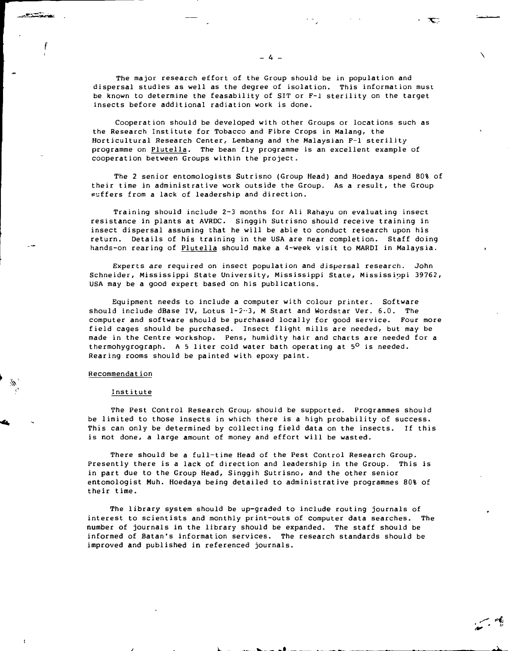The major research effort of the Group should be in population and dispersal studies as well as the degree of isolation. This information must be known to determine the feasability of SIT or F-1 sterility on the target insects before additional radiation work is done.

Cooperation should be developed with other Groups or locations such as the Research Institute for Tobacco and Fibre Crops in Malang, the Horticultural Research Center, Lembang and the Malaysian F-l sterility programme on Plutella. The bean fly programme is an excellent example of cooperation between Groups within the project.

The 2 senior entomologists Sutrisno (Group Head) and Hoedaya spend 80% of their time in administrative work outside the Group. As a result, the Group suffers from a lack of leadership and direction.

Training should include 2-3 months for Ali Rahayu on evaluating insect resistance in plants at AVRDC. Singgih Sutrisno should receive training in insect dispersal assuming that he will be able to conduct research upon his return. Details of his training in the USA are near completion. Staff doing hands-on rearing of Plutella should make a 4-week visit to MARDI in Malaysia.

Experts are required on insect population and dispersal research. John Schneider, Mississippi State University, Mississippi State, Mississippi 39762, USA may be a good expert based on his publications.

Equipment needs to include a computer with colour printer. Software should include dBase IV, Lotus 1-2-3, M Start and Wordstar Ver. 6.0. The computer and software should be purchased locally for good service. Four more field cages should be purchased. Insect flight mills are needed, but may be made in the Centre workshop. Pens, humidity hair and charts are needed for a thermohygrograph. A 5 liter cold water bath operating at 5<sup>0</sup> is needed. Rearing rooms should be painted with epoxy paint.

#### Recommendat ion

 $\mathbf{t}$ 

#### Institute

The Pest Control Research Group should be supported. Programmes should be limited to those insects in which there is a high probability of success. This can only be determined by collecting field data on the insects. If this is not done, a large amount of money and effort will be wasted.

There should be a full-time Head of the Pest Control Research Group. Presently there is a lack of direction and leadership in the Group. This is in part due to the Group Head, Singgih Sutrisno, and the other senior entomologist Muh. Hoedaya being detailed to administrative programmes 80% of their time.

The library system should be up-graded to include routing journals of interest to scientists and monthly print-outs of computer data searches. The number of journals in the library should be expanded. The staff should be informed of Batan's information services. The research standards should be improved and published in referenced journals.

 $\mathbf{r}$ . w.  $\mathbf{r}$  .  $\mathbf{r}$  and  $\mathbf{r}$ 

\*Ti».'

 $\sim$  1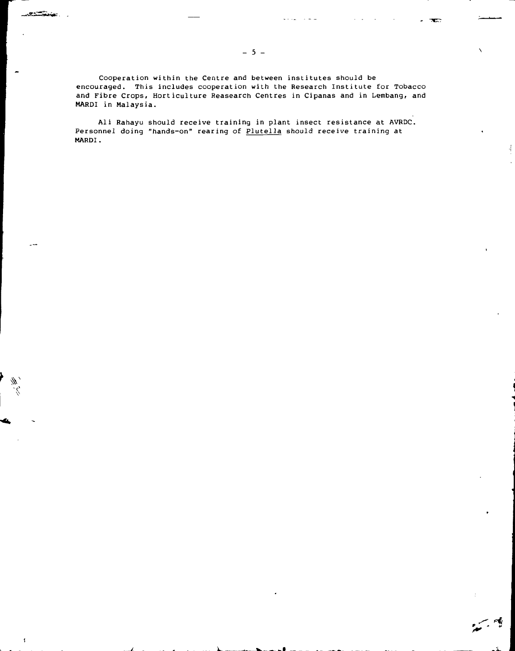Cooperation within the Centre and between institutes should be encouraged. This includes cooperation with the Research Institute for Tobacco and Fibre Crops, Horticulture Reasearch Centres in Cipanas and in Lembang, and MARDI in Malaysia.

Ali Rahayu should receive training in plant insect resistance at AVRDC. Personnel doing "hands-on" rearing of Plutella should receive training at MARDI.

-i-

 $\mathcal{L}^4$ 

V

 $\cdot$ 

**CALCOMING** 

 $- 5 -$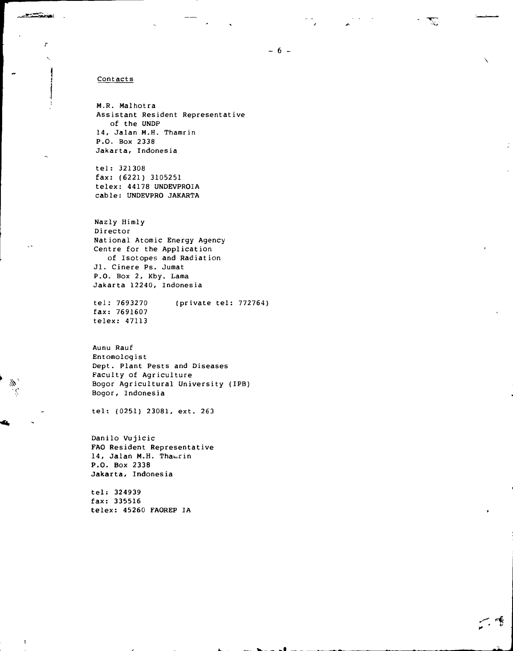# Contacts

**STAND** 

 $\ddot{\phantom{0}}$ 

r

M.R. Malhotra Assistant Resident Representative of the UNDP 14, Jalan M.H. Thamrin P.O. Box 2338 **Jakarta,** Indonesia

tel: 321308 fax: (6221) 3105251 telex: 44178 UNDEVPROIA cable: UNDEVPRO JAKARTA

Nazly Himly Director National Atomic Energy Agency Centre for the Application of Isotopes and Radiation Jl. Cinere Ps. Jumat P.O. Box 2, Kby. Lama Jakarta 12240, Indonesia

tel: 7693270 (private tel: 772764) fax: 7691607 telex: 47113

Aunu Rauf Entomologist Dept. Plant Pests and Diseases Faculty of Agriculture Bogor Agricultural University (IPB) Bogor, Indonesia

tel: (0251) 23081, ext. 263

Danilo Vujicic **FAO Resident Representative** 14, Jalan M.H. Thamrin **P.O. Box 2338 Jakarta, Indonesia**

**tel: 324939 fax: 335516 telex: 45260 FAOREP** IA Œ

人像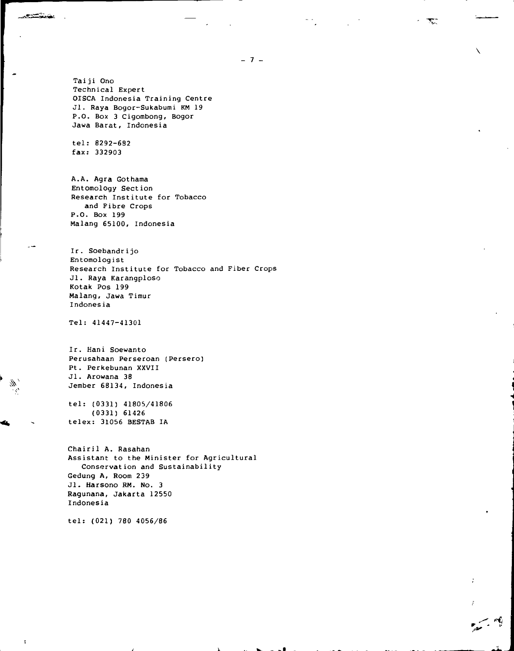$-7 -$ 

**V**

Taiji Ono Technical Expert OISCA Indonesia Training Centre Jl. Raya Bogor-Sukabumi KM 19 P.O. Box 3 Cigombong, Bogor Jawa Barat, Indonesia

tel: 8292-692 fax: 332903

<u>restaura i</u>

A.A. Agra Gothama Entomology Section Research Institute for Tobacco and Fibre Crops P.O. Box 199 Malang 65100, Indonesia

Ir. Soebandrijo Entomologist Research Institute for Tobacco and Fiber Crops Jl. Raya Karangploso Kotak Pos 199 Malang, Jawa Timur Indonesia

Tel: 41447-41301

Ir. Hani Soewanto Perusahaan Perseroan (Persero) Pt. Perkebunan XXVII Jl. Arowana 38 Jember 68134, Indonesia

tel: (0331) 41805/41806 (0331) 61426 telex: 31056 BESTAB IA

Chairil A. Rasahan Assistant to the Minister for Agricultural Conservation and Sustainability Gedung A, Room 239 Jl. Harsono RM. No. 3 Ragunana, Jakarta 12550 Indonesia

tel: (021) 780 4056/86

 $\mathbf{r}$